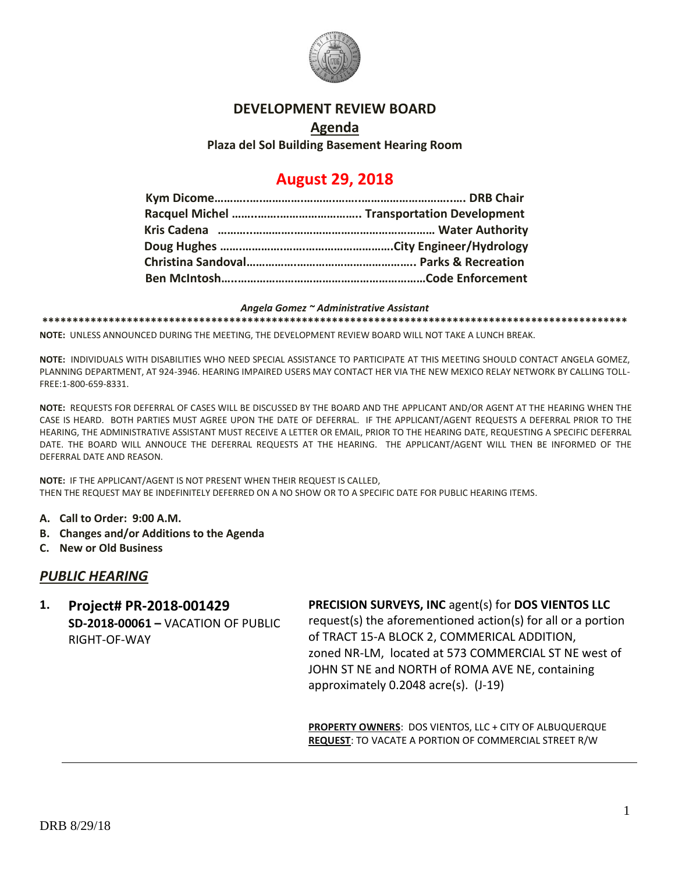

### **DEVELOPMENT REVIEW BOARD**

## **Agenda Plaza del Sol Building Basement Hearing Room**

# **August 29, 2018**

#### *Angela Gomez ~ Administrative Assistant*

**\*\*\*\*\*\*\*\*\*\*\*\*\*\*\*\*\*\*\*\*\*\*\*\*\*\*\*\*\*\*\*\*\*\*\*\*\*\*\*\*\*\*\*\*\*\*\*\*\*\*\*\*\*\*\*\*\*\*\*\*\*\*\*\*\*\*\*\*\*\*\*\*\*\*\*\*\*\*\*\*\*\*\*\*\*\*\*\*\*\*\*\*\*\*\*\*\***

**NOTE:** UNLESS ANNOUNCED DURING THE MEETING, THE DEVELOPMENT REVIEW BOARD WILL NOT TAKE A LUNCH BREAK.

**NOTE:** INDIVIDUALS WITH DISABILITIES WHO NEED SPECIAL ASSISTANCE TO PARTICIPATE AT THIS MEETING SHOULD CONTACT ANGELA GOMEZ, PLANNING DEPARTMENT, AT 924-3946. HEARING IMPAIRED USERS MAY CONTACT HER VIA THE NEW MEXICO RELAY NETWORK BY CALLING TOLL-FREE:1-800-659-8331.

**NOTE:** REQUESTS FOR DEFERRAL OF CASES WILL BE DISCUSSED BY THE BOARD AND THE APPLICANT AND/OR AGENT AT THE HEARING WHEN THE CASE IS HEARD. BOTH PARTIES MUST AGREE UPON THE DATE OF DEFERRAL. IF THE APPLICANT/AGENT REQUESTS A DEFERRAL PRIOR TO THE HEARING, THE ADMINISTRATIVE ASSISTANT MUST RECEIVE A LETTER OR EMAIL, PRIOR TO THE HEARING DATE, REQUESTING A SPECIFIC DEFERRAL DATE. THE BOARD WILL ANNOUCE THE DEFERRAL REQUESTS AT THE HEARING. THE APPLICANT/AGENT WILL THEN BE INFORMED OF THE DEFERRAL DATE AND REASON.

**NOTE:** IF THE APPLICANT/AGENT IS NOT PRESENT WHEN THEIR REQUEST IS CALLED, THEN THE REQUEST MAY BE INDEFINITELY DEFERRED ON A NO SHOW OR TO A SPECIFIC DATE FOR PUBLIC HEARING ITEMS.

- **A. Call to Order: 9:00 A.M.**
- **B. Changes and/or Additions to the Agenda**
- **C. New or Old Business**

## *PUBLIC HEARING*

**1. Project# PR-2018-001429 SD-2018-00061 –** VACATION OF PUBLIC RIGHT-OF-WAY

#### **PRECISION SURVEYS, INC** agent(s) for **DOS VIENTOS LLC**

request(s) the aforementioned action(s) for all or a portion of TRACT 15-A BLOCK 2, COMMERICAL ADDITION, zoned NR-LM, located at 573 COMMERCIAL ST NE west of JOHN ST NE and NORTH of ROMA AVE NE, containing approximately 0.2048 acre(s). (J-19)

**PROPERTY OWNERS**: DOS VIENTOS, LLC + CITY OF ALBUQUERQUE **REQUEST**: TO VACATE A PORTION OF COMMERCIAL STREET R/W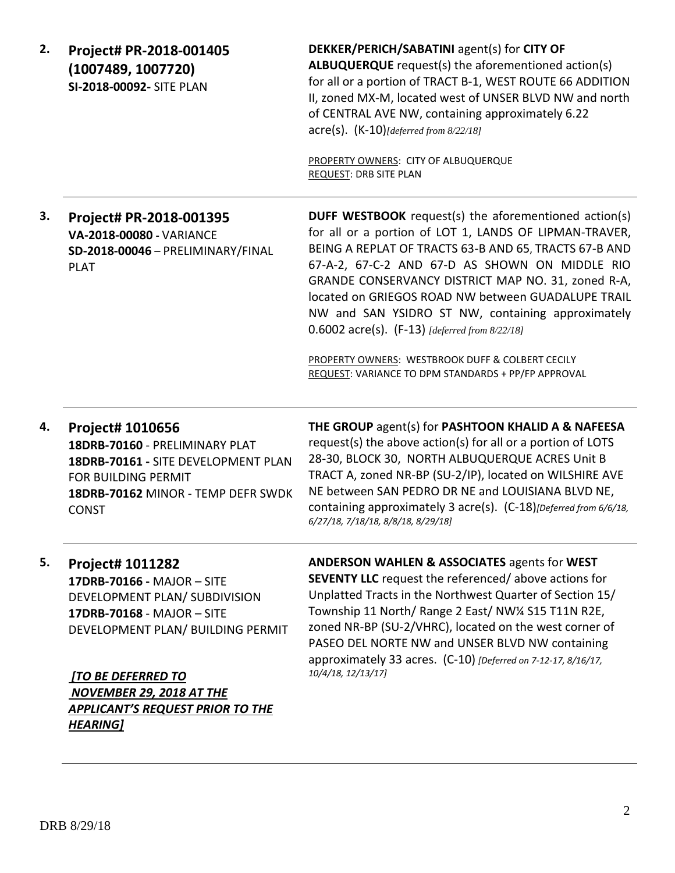| 2. | Project# PR-2018-001405<br>(1007489, 1007720)<br>SI-2018-00092- SITE PLAN                                                                                                                                                                                                        | DEKKER/PERICH/SABATINI agent(s) for CITY OF<br><b>ALBUQUERQUE</b> request(s) the aforementioned action(s)<br>for all or a portion of TRACT B-1, WEST ROUTE 66 ADDITION<br>II, zoned MX-M, located west of UNSER BLVD NW and north<br>of CENTRAL AVE NW, containing approximately 6.22<br>$\text{acre}(s)$ . $(K-10)$ [deferred from 8/22/18]<br>PROPERTY OWNERS: CITY OF ALBUQUERQUE<br>REQUEST: DRB SITE PLAN                                                                                                                                                |
|----|----------------------------------------------------------------------------------------------------------------------------------------------------------------------------------------------------------------------------------------------------------------------------------|---------------------------------------------------------------------------------------------------------------------------------------------------------------------------------------------------------------------------------------------------------------------------------------------------------------------------------------------------------------------------------------------------------------------------------------------------------------------------------------------------------------------------------------------------------------|
| 3. | Project# PR-2018-001395<br>VA-2018-00080 - VARIANCE<br>SD-2018-00046 - PRELIMINARY/FINAL<br><b>PLAT</b>                                                                                                                                                                          | DUFF WESTBOOK request(s) the aforementioned action(s)<br>for all or a portion of LOT 1, LANDS OF LIPMAN-TRAVER,<br>BEING A REPLAT OF TRACTS 63-B AND 65, TRACTS 67-B AND<br>67-A-2, 67-C-2 AND 67-D AS SHOWN ON MIDDLE RIO<br>GRANDE CONSERVANCY DISTRICT MAP NO. 31, zoned R-A,<br>located on GRIEGOS ROAD NW between GUADALUPE TRAIL<br>NW and SAN YSIDRO ST NW, containing approximately<br>0.6002 $\arccos 0$ . (F-13) [deferred from 8/22/18]<br>PROPERTY OWNERS: WESTBROOK DUFF & COLBERT CECILY<br>REQUEST: VARIANCE TO DPM STANDARDS + PP/FP APPROVAL |
| 4. | Project# 1010656<br>18DRB-70160 - PRELIMINARY PLAT<br>18DRB-70161 - SITE DEVELOPMENT PLAN<br><b>FOR BUILDING PERMIT</b><br>18DRB-70162 MINOR - TEMP DEFR SWDK<br><b>CONST</b>                                                                                                    | THE GROUP agent(s) for PASHTOON KHALID A & NAFEESA<br>request(s) the above action(s) for all or a portion of LOTS<br>28-30, BLOCK 30, NORTH ALBUQUERQUE ACRES Unit B<br>TRACT A, zoned NR-BP (SU-2/IP), located on WILSHIRE AVE<br>NE between SAN PEDRO DR NE and LOUISIANA BLVD NE,<br>containing approximately 3 acre(s). (C-18)[Deferred from 6/6/18,<br>6/27/18, 7/18/18, 8/8/18, 8/29/18]                                                                                                                                                                |
| 5. | Project# 1011282<br>17DRB-70166 - MAJOR - SITE<br>DEVELOPMENT PLAN/ SUBDIVISION<br>17DRB-70168 - MAJOR - SITE<br>DEVELOPMENT PLAN/ BUILDING PERMIT<br><b>[TO BE DEFERRED TO</b><br><b>NOVEMBER 29, 2018 AT THE</b><br><b>APPLICANT'S REQUEST PRIOR TO THE</b><br><b>HEARING]</b> | <b>ANDERSON WAHLEN &amp; ASSOCIATES agents for WEST</b><br><b>SEVENTY LLC</b> request the referenced/above actions for<br>Unplatted Tracts in the Northwest Quarter of Section 15/<br>Township 11 North/ Range 2 East/ NW¼ S15 T11N R2E,<br>zoned NR-BP (SU-2/VHRC), located on the west corner of<br>PASEO DEL NORTE NW and UNSER BLVD NW containing<br>approximately 33 acres. (C-10) [Deferred on 7-12-17, 8/16/17,<br>10/4/18, 12/13/17]                                                                                                                  |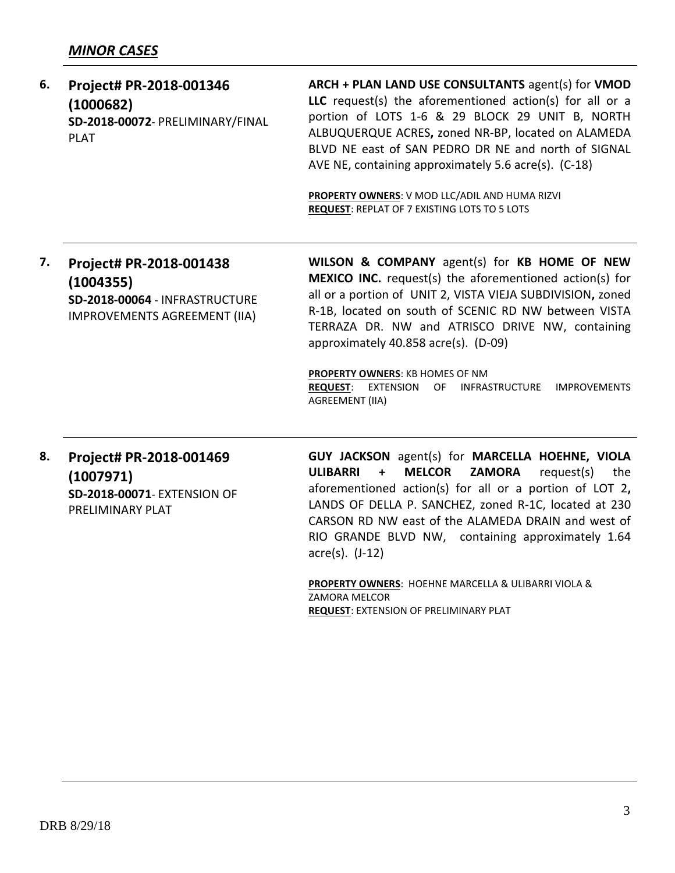#### **6. Project# PR-2018-001346 (1000682) SD-2018-00072**- PRELIMINARY/FINAL PLAT **ARCH + PLAN LAND USE CONSULTANTS** agent(s) for **VMOD LLC** request(s) the aforementioned action(s) for all or a portion of LOTS 1-6 & 29 BLOCK 29 UNIT B, NORTH ALBUQUERQUE ACRES**,** zoned NR-BP, located on ALAMEDA BLVD NE east of SAN PEDRO DR NE and north of SIGNAL AVE NE, containing approximately 5.6 acre(s). (C-18)

**PROPERTY OWNERS**: V MOD LLC/ADIL AND HUMA RIZVI **REQUEST**: REPLAT OF 7 EXISTING LOTS TO 5 LOTS

**7. Project# PR-2018-001438 (1004355) SD-2018-00064** - INFRASTRUCTURE IMPROVEMENTS AGREEMENT (IIA) **WILSON & COMPANY** agent(s) for **KB HOME OF NEW MEXICO INC.** request(s) the aforementioned action(s) for all or a portion of UNIT 2, VISTA VIEJA SUBDIVISION**,** zoned R-1B, located on south of SCENIC RD NW between VISTA TERRAZA DR. NW and ATRISCO DRIVE NW, containing approximately 40.858 acre(s). (D-09)

**PROPERTY OWNERS**: KB HOMES OF NM **REQUEST**: EXTENSION OF INFRASTRUCTURE IMPROVEMENTS AGREEMENT (IIA)

**8. Project# PR-2018-001469 (1007971) SD-2018-00071**- EXTENSION OF PRELIMINARY PLAT

**GUY JACKSON** agent(s) for **MARCELLA HOEHNE, VIOLA ULIBARRI + MELCOR ZAMORA** request(s) the aforementioned action(s) for all or a portion of LOT 2**,**  LANDS OF DELLA P. SANCHEZ, zoned R-1C, located at 230 CARSON RD NW east of the ALAMEDA DRAIN and west of RIO GRANDE BLVD NW, containing approximately 1.64 acre(s). (J-12)

**PROPERTY OWNERS**: HOEHNE MARCELLA & ULIBARRI VIOLA & ZAMORA MELCOR **REQUEST**: EXTENSION OF PRELIMINARY PLAT